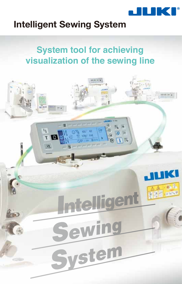

# **Intelligent Sewing System**

# **System tool for achieving visualization of the sewing line**

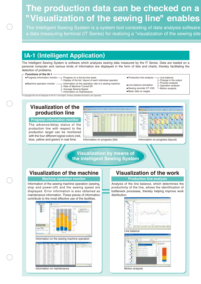# **The production data can be checked on a "Visualization of the sewing line" enables**

The Intelligent Sewing System is a system tool consisting of data analysis software a data measuring terminal (IT Series) for realizing a "visualization of the sewing site

# **IA-1 (Intelligent Application)**

The Intelligent Sewing System is software which analyzes sewing data measured by the IT Series. Data are loaded on a personal computer and various kinds of information are displayed in the form of lists and charts, thereby facilitating the detection of problems.

| $\Gamma$ Functions of the IA-1              |
|---------------------------------------------|
| . Due encourt fully measured and seattle of |

| $\bullet$ Progress information monitor $\rightarrow$ Progress on a line-by-line basis<br>$\overline{\phantom{a}}$ Display of the list / layout of each individual operator                                               | • Production line analysis -                                                     |
|--------------------------------------------------------------------------------------------------------------------------------------------------------------------------------------------------------------------------|----------------------------------------------------------------------------------|
| • Machine operation monitor $-\frac{1}{x}$ Information on the operation rate of a sewing machine<br>$\vdash$ Rate of Machine Turned Off<br>- Average Sewing Speed<br>$\overline{\phantom{a}}$ Information on maintenance | • Line balance simulation<br>• Sewing recorder (IT-100)<br>• Basic data on wages |

### duction line analysis - Line balance

Change in the output

- Process analysis
- Operation analysis
- E Motion analysis
- sic data on wages

\*Languages that can be displayed on the IA-1 are English, Chinese (simplified characters) and Japanese.

## **Visualization of the production line**

**Progress information monitor**

The advance/delay status of the production line with respect to the production target can be monitored with the four different signal colors (red, blue, yellow and green) in real time.





Information on progress (layout)

## **Visualization by means of the Intelligent Sewing System**

## **Visualization of the machine**

### **Machine operation monitor Production line analysis**

Information of the sewing machine operation (sewing, stop and power-off) and the sewing speed are displayed. Error information is also obtained as maintenance information. These pieces of information contribute to the most effective use of the facilities.





Information on maintenance **Motion analysis** Motion analysis

## **Visualization of the work**

Analysis of the line balance, which determines the productivity of the line, allows the identification of bottleneck processes, thereby helping improve work distribution.



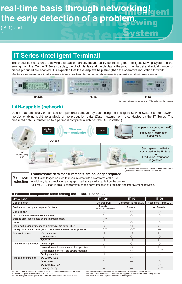# **real-time basis through networking! the early detection of a problem.**

(IA-1) and

# **IT Series (Intelligent Terminal)**

\*For the data measurement, an automatic measurement (frequency of thread trimming) or a manual measurement (by means of a manual switch) can be selected. The production data on the sewing site can be directly measured by connecting the Intelligent Sewing System to the sewing machine. On the IT Series display, the clock display and the display of the production target and actual number of pieces produced are enabled. It is expected that these displays help strengthen the operator's motivation for work.



**IT-100 IT-10 IT-20**

\*Download the Instruction Manual for the IT Series from the JUKI website.

### **LAN-capable (network)**

Data are automatically transmitted to a personal computer by connecting the Intelligent Sewing System to the network, thereby enabling real-time analysis of the production data. (Data measurement is conducted by the IT Series. The measured data is transferred to a personal computer which has the IA-1 installed.)



\*Separately prepare a personal computer, communication device (wireless terminal) and LAN cable for connection.

**Man-hour reduction**

### **Troublesome data measurements are no longer required**

IE staff is no longer required to measure data with a stopwatch or the like.

In addition, data compilation and graph making are easily carried out by the IA-1.

As a result, IE staff is able to concentrate on the early detection of problems and improvement activities.

### **Function comparison table among the T-100, -10 and -20**

| Models name                                                               |                                             | $IT-100^{*1}$                               | $IT-10$                | $IT-20$                |
|---------------------------------------------------------------------------|---------------------------------------------|---------------------------------------------|------------------------|------------------------|
| Display screen                                                            |                                             | Dot type LCD                                | 7-segment 12-digit LCD | 7-segment 4-digit LCD  |
| Sewing machine operation panel functions                                  |                                             | Provided<br>(with the programming function) | Provided               | Not Provided           |
| Clock display                                                             |                                             |                                             |                        |                        |
| Output of measured data to the network                                    |                                             |                                             |                        |                        |
| Storage of measured data on the internal memory                           |                                             | $\bigcirc^{*2}$                             |                        |                        |
| <b>Buzzer</b>                                                             |                                             |                                             |                        |                        |
| Signaling function by means of a blinking of the power LED                |                                             | C                                           | С.                     | ∩                      |
| Display of the production target and the actual number of pieces produced |                                             | $\bigcirc^{*3}$                             | $\bigcirc^{*3}$        |                        |
| <b>External interface</b>                                                 | <b>LAN</b> connector                        | C                                           |                        |                        |
|                                                                           | USB connector*4                             | ⊖                                           |                        |                        |
|                                                                           | <b>RS-232C</b>                              | C                                           |                        | $(\ )$                 |
| Data measuring function                                                   | Actual output                               | C                                           |                        | $\left( \quad \right)$ |
|                                                                           | Information on the sewing machine operation |                                             |                        |                        |
|                                                                           | Information on errors of the sewing machine |                                             |                        | $\wedge$ *5            |
|                                                                           | Sewing recorder                             | C                                           |                        |                        |
| Applicable control box                                                    | SC-920/921/922                              | C                                           |                        |                        |
|                                                                           | SC-915/916                                  | C                                           |                        | ∩                      |
|                                                                           | SC-500/510/910(N)                           |                                             |                        |                        |
|                                                                           | Others(MC/EC)                               |                                             |                        | $\triangle^{*6}$       |

※1 The IT-100 is able to use all functions of the IP-110 (conventional type operation panel).

※2 ※3 External output is allowed by means of a USB port The displayed number of pieces produced is not linked with the data stored in the IA-1.

※4<br>※5<br>※6 The sewing machine cannot be operated if the USB thumb drive remains inserted.<br>The function marked with an asterisk is not supported by some models of the sewing machine.<br>Refer to the table of optional cables for connectin